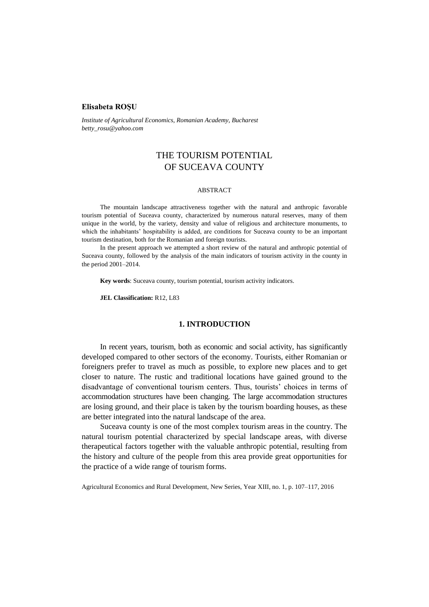### **Elisabeta ROŞU**

*Institute of Agricultural Economics, Romanian Academy, Bucharest betty\_rosu@yahoo.com*

# THE TOURISM POTENTIAL OF SUCEAVA COUNTY

### ABSTRACT

The mountain landscape attractiveness together with the natural and anthropic favorable tourism potential of Suceava county, characterized by numerous natural reserves, many of them unique in the world, by the variety, density and value of religious and architecture monuments, to which the inhabitants' hospitability is added, are conditions for Suceava county to be an important tourism destination, both for the Romanian and foreign tourists.

In the present approach we attempted a short review of the natural and anthropic potential of Suceava county, followed by the analysis of the main indicators of tourism activity in the county in the period 2001–2014.

**Key words**: Suceava county, tourism potential, tourism activity indicators.

**JEL Classification:** R12, L83

# **1. INTRODUCTION**

In recent years, tourism, both as economic and social activity, has significantly developed compared to other sectors of the economy. Tourists, either Romanian or foreigners prefer to travel as much as possible, to explore new places and to get closer to nature. The rustic and traditional locations have gained ground to the disadvantage of conventional tourism centers. Thus, tourists' choices in terms of accommodation structures have been changing. The large accommodation structures are losing ground, and their place is taken by the tourism boarding houses, as these are better integrated into the natural landscape of the area.

Suceava county is one of the most complex tourism areas in the country. The natural tourism potential characterized by special landscape areas, with diverse therapeutical factors together with the valuable anthropic potential, resulting from the history and culture of the people from this area provide great opportunities for the practice of a wide range of tourism forms.

Agricultural Economics and Rural Development, New Series, Year XIII, no. 1, p. 107–117, 2016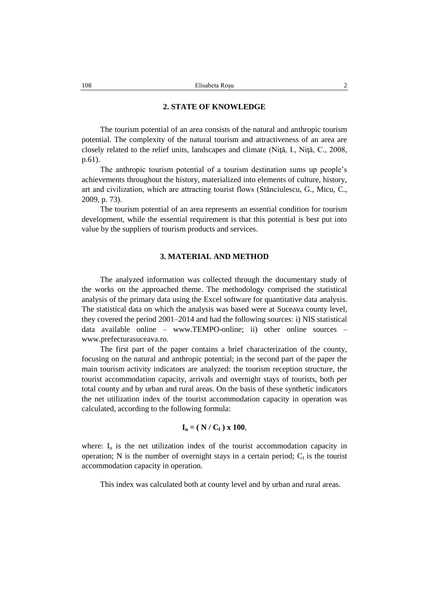### **2. STATE OF KNOWLEDGE**

The tourism potential of an area consists of the natural and anthropic tourism potential. The complexity of the natural tourism and attractiveness of an area are closely related to the relief units, landscapes and climate (Niţă, I., Niţă, C., 2008, p.61).

The anthropic tourism potential of a tourism destination sums up people's achievements throughout the history, materialized into elements of culture, history, art and civilization, which are attracting tourist flows (Stănciulescu, G., Micu, C., 2009, p. 73).

The tourism potential of an area represents an essential condition for tourism development, while the essential requirement is that this potential is best put into value by the suppliers of tourism products and services.

# **3. MATERIAL AND METHOD**

The analyzed information was collected through the documentary study of the works on the approached theme. The methodology comprised the statistical analysis of the primary data using the Excel software for quantitative data analysis. The statistical data on which the analysis was based were at Suceava county level, they covered the period 2001–2014 and had the following sources: i) NIS statistical data available online – www.TEMPO-online; ii) other online sources – [www.prefecturasuceava.ro.](http://www.prefecturasuceava.ro/)

The first part of the paper contains a brief characterization of the county, focusing on the natural and anthropic potential; in the second part of the paper the main tourism activity indicators are analyzed: the tourism reception structure, the tourist accommodation capacity, arrivals and overnight stays of tourists, both per total county and by urban and rural areas. On the basis of these synthetic indicators the net utilization index of the tourist accommodation capacity in operation was calculated, according to the following formula:

$$
\mathbf{I}_n = (N/C_f) \times 100,
$$

where:  $I_n$  is the net utilization index of the tourist accommodation capacity in operation; N is the number of overnight stays in a certain period;  $C_f$  is the tourist accommodation capacity in operation.

This index was calculated both at county level and by urban and rural areas.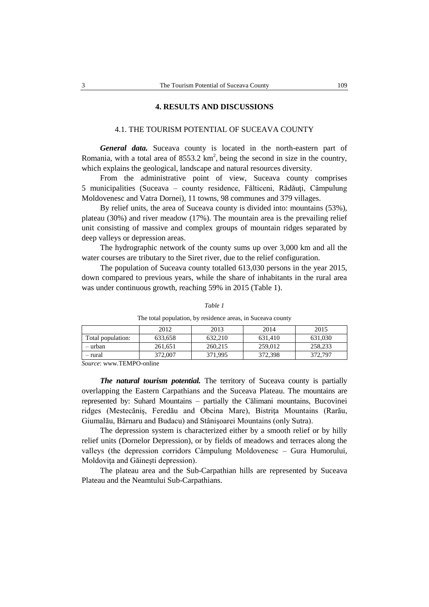### **4. RESULTS AND DISCUSSIONS**

# 4.1. THE TOURISM POTENTIAL OF SUCEAVA COUNTY

*General data.* Suceava county is located in the north-eastern part of Romania, with a total area of  $8553.2 \text{ km}^2$ , being the second in size in the country, which explains the geological, landscape and natural resources diversity.

From the administrative point of view, Suceava county comprises 5 municipalities (Suceava – county residence, Fălticeni, Rădăuți, Câmpulung Moldovenesc and Vatra Dornei), 11 towns, 98 communes and 379 villages.

By relief units, the area of Suceava county is divided into: mountains (53%), plateau (30%) and river meadow (17%). The mountain area is the prevailing relief unit consisting of massive and complex groups of mountain ridges separated by deep valleys or depression areas.

The hydrographic network of the county sums up over 3,000 km and all the water courses are tributary to the Siret river, due to the relief configuration.

The population of Suceava county totalled 613,030 persons in the year 2015, down compared to previous years, while the share of inhabitants in the rural area was under continuous growth, reaching 59% in 2015 (Table 1).

|                   | 2012    | 2013    | 2014    | 2015    |
|-------------------|---------|---------|---------|---------|
| Total population: | 633,658 | 632.210 | 631.410 | 631.030 |
| – urban           | 261,651 | 260.215 | 259,012 | 258,233 |
| - rural           | 372,007 | 371.995 | 372,398 | 372,797 |

*Table 1*

The total population, by residence areas, in Suceava county

*Source*: www.TEMPO-online

*The natural tourism potential.* The territory of Suceava county is partially overlapping the Eastern Carpathians and the Suceava Plateau. The mountains are represented by: Suhard Mountains – partially the Călimani mountains, Bucovinei ridges (Mestecăniş, Feredău and Obcina Mare), Bistriţa Mountains (Rarău, Giumalău, Bârnaru and Budacu) and Stânişoarei Mountains (only Sutra).

The depression system is characterized either by a smooth relief or by hilly relief units (Dornelor Depression), or by fields of meadows and terraces along the valleys (the depression corridors Câmpulung Moldovenesc – Gura Humorului, Moldoviţa and Găineşti depression).

The plateau area and the Sub-Carpathian hills are represented by Suceava Plateau and the Neamtului Sub-Carpathians.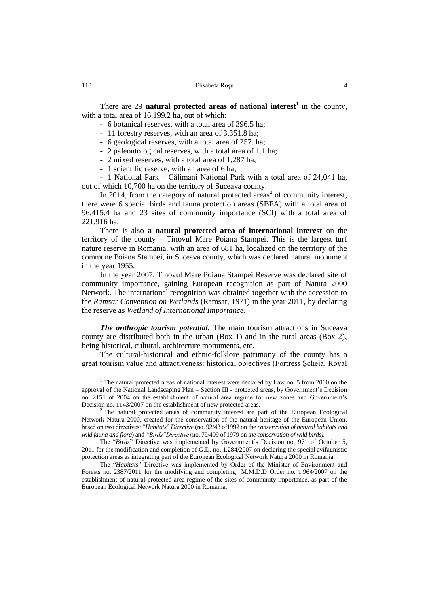There are 29 **natural protected areas of national interest**<sup>1</sup> in the county, with a total area of 16,199.2 ha, out of which:

- 6 botanical reserves, with a total area of 396.5 ha;
- 11 forestry reserves, with an area of 3,351.8 ha;
- 6 geological reserves, with a total area of 257. ha;
- 2 paleontological reserves, with a total area of 1.1 ha;
- 2 mixed reserves, with a total area of 1,287 ha;
- 1 scientific reserve, with an area of 6 ha;

- 1 National Park – Călimani National Park with a total area of 24,041 ha, out of which 10,700 ha on the territory of Suceava county.

In 2014, from the category of natural protected areas<sup>2</sup> of community interest, there were 6 special birds and fauna protection areas (SBFA) with a total area of 96,415.4 ha and 23 sites of community importance (SCI) with a total area of 221,916 ha.

There is also **a natural protected area of international interest** on the territory of the county – Tinovul Mare Poiana Stampei. This is the largest turf nature reserve in Romania, with an area of 681 ha, localized on the territory of the commune Poiana Stampei, in Suceava county, which was declared natural monument in the year 1955.

In the year 2007, Tinovul Mare Poiana Stampei Reserve was declared site of community importance, gaining European recognition as part of Natura 2000 Network. The international recognition was obtained together with the accession to the *Ramsar Convention on Wetlands* (Ramsar, 1971) in the year 2011, by declaring the reserve as *Wetland of International Importance*.

*The anthropic tourism potential.* The main tourism attractions in Suceava county are distributed both in the urban (Box 1) and in the rural areas (Box 2), being historical, cultural, architecture monuments, etc.

The cultural-historical and ethnic-folklore patrimony of the county has a great tourism value and attractiveness: historical objectives (Fortress Şcheia, Royal

<sup>1</sup> The natural protected areas of national interest were declared by Law no. 5 from 2000 on the approval of the National Landscaping Plan – Section III - protected areas, by Government's Decision no. 2151 of 2004 on the establishment of natural area regime for new zones and Government's Decision no. 1143/2007 on the establishment of new protected areas.

 $2$ <sup>2</sup> The natural protected areas of community interest are part of the European Ecological Network Natura 2000, created for the conservation of the natural heritage of the European Union, based on two directives: "*Habitats*" *Directive* (no. 92/43 of1992 on the *conservation of natural habitats and wild fauna and flora*) and *"Birds"Directive* (no. 79/409 of 1979 on *the conservation of wild birds).*

The "*Birds*" Directive was implemented by Government's Decision no. 971 of October 5, 2011 for the modification and completion of G.D. no. 1.284/2007 on declaring the special avifaunistic protection areas as integrating part of the European Ecological Network Natura 2000 in Romania.

The "*Habitats*" Directive was implemented by Order of the Minister of Environment and Forests no. 2387/2011 for the modifying and completing M.M.D.D Order no. 1.964/2007 on the establishment of natural protected area regime of the sites of community importance, as part of the European Ecological Network Natura 2000 in Romania.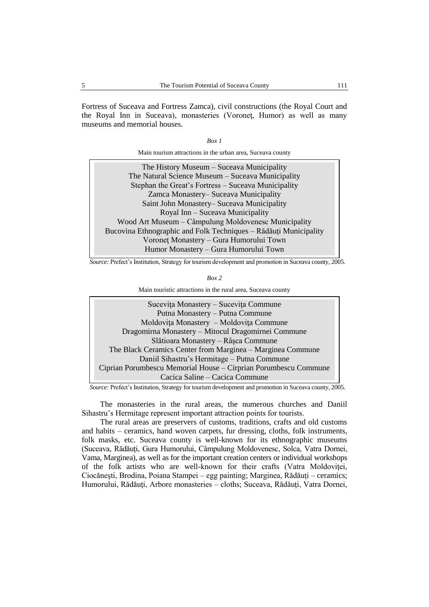Fortress of Suceava and Fortress Zamca), civil constructions (the Royal Court and the Royal Inn in Suceava), monasteries (Voroneţ, Humor) as well as many museums and memorial houses.

| I |  |
|---|--|
|---|--|

Main tourism attractions in the urban area, Suceava county

| The History Museum – Suceava Municipality                        |
|------------------------------------------------------------------|
| The Natural Science Museum – Suceava Municipality                |
| Stephan the Great's Fortress - Suceava Municipality              |
| Zamca Monastery– Suceava Municipality                            |
| Saint John Monastery-Suceava Municipality                        |
| Royal Inn – Suceava Municipality                                 |
| Wood Art Museum – Câmpulung Moldovenesc Municipality             |
| Bucovina Ethnographic and Folk Techniques - Rădăuți Municipality |
| Voroneț Monastery - Gura Humorului Town                          |
| Humor Monastery - Gura Humorului Town                            |
|                                                                  |

*Source:* Prefect's Institution, Strategy for tourism development and promotion in Suceava county, 2005.

Main touristic attractions in the rural area, Suceava county

Suceviţa Monastery – Suceviţa Commune Putna Monastery – Putna Commune Moldoviţa Monastery – Moldoviţa Commune Dragomirna Monastery – Mitocul Dragomirnei Commune Slătioara Monastery – Râşca Commune The Black Ceramics Center from Marginea – Marginea Commune Daniil Sihastru's Hermitage – Putna Commune Ciprian Porumbescu Memorial House – Cirprian Porumbescu Commune Cacica Saline – Cacica Commune

*Source:* Prefect's Institution*,* Strategy for tourism development and promotion in Suceava county, 2005.

The monasteries in the rural areas, the numerous churches and Daniil Sihastru's Hermitage represent important attraction points for tourists.

The rural areas are preservers of customs, traditions, crafts and old customs and habits – ceramics, hand woven carpets, fur dressing, cloths, folk instruments, folk masks, etc. Suceava county is well-known for its ethnographic museums (Suceava, Rădăuţi, Gura Humorului, Câmpulung Moldovenesc, Solca, Vatra Dornei, Vama, Marginea), as well as for the important creation centers or individual workshops of the folk artists who are well-known for their crafts (Vatra Moldoviţei, Ciocănești, Brodina, Poiana Stampei – egg painting; Marginea, Rădăuți – ceramics; Humorului, Rădăuţi, Arbore monasteries – cloths; Suceava, Rădăuţi, Vatra Dornei,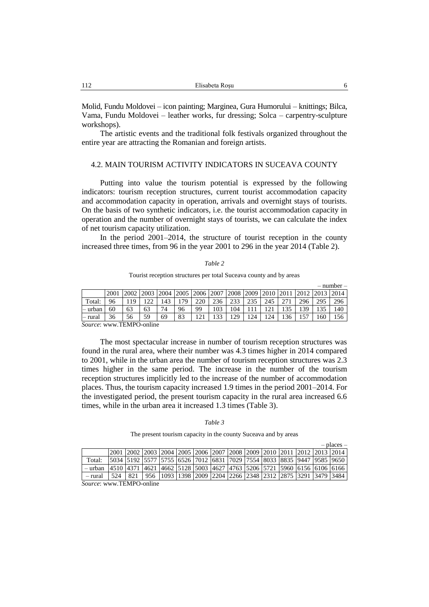Molid, Fundu Moldovei – icon painting; Marginea, Gura Humorului – knittings; Bilca, Vama, Fundu Moldovei – leather works, fur dressing; Solca – carpentry-sculpture workshops).

The artistic events and the traditional folk festivals organized throughout the entire year are attracting the Romanian and foreign artists.

## 4.2. MAIN TOURISM ACTIVITY INDICATORS IN SUCEAVA COUNTY

Putting into value the tourism potential is expressed by the following indicators: tourism reception structures, current tourist accommodation capacity and accommodation capacity in operation, arrivals and overnight stays of tourists. On the basis of two synthetic indicators, i.e. the tourist accommodation capacity in operation and the number of overnight stays of tourists, we can calculate the index of net tourism capacity utilization.

In the period 2001–2014, the structure of tourist reception in the county increased three times, from 96 in the year 2001 to 296 in the year 2014 (Table 2).

| ani |  |
|-----|--|
|     |  |

|          |      |        |               |      |    |                |     |           |     |           |               |      |      | $=$ $\mu$ $\mu$ $\mu$ $\sigma$ $=$ |
|----------|------|--------|---------------|------|----|----------------|-----|-----------|-----|-----------|---------------|------|------|------------------------------------|
|          | 2001 | 2002   | 2003          | 2004 |    | 2005 2006 2007 |     | 2008 2009 |     | 2010 2011 |               | 2012 | 2013 | <b>2014</b>                        |
| Total:   | 96   | 10     | ר ה           | 143  | 79 | 220            | 236 | 222       | 235 | 245       | $\mathcal{L}$ | 296  | 295  | 296                                |
| ∣– urban | 60   | 63     | 63            | 74   | 96 | 99             | 103 | 104       |     |           | 135           | 139  | 135  | 140                                |
| – rural  | 36   | 56     | 59            | 69   | 83 | --             | 133 | 129       | 124 | 124       | 136           | 57   | 160  | 156                                |
| __       |      | ______ | $\sim$ $\sim$ |      |    |                |     |           |     |           |               |      |      |                                    |

*Source*[: www.TEMPO-](http://www.tempo/)online

The most spectacular increase in number of tourism reception structures was found in the rural area, where their number was 4.3 times higher in 2014 compared to 2001, while in the urban area the number of tourism reception structures was 2.3 times higher in the same period. The increase in the number of the tourism reception structures implicitly led to the increase of the number of accommodation places. Thus, the tourism capacity increased 1.9 times in the period 2001–2014. For the investigated period, the present tourism capacity in the rural area increased 6.6 times, while in the urban area it increased 1.3 times (Table 3).

#### *Table 3*

The present tourism capacity in the county Suceava and by areas

|         |                                                                                    |                         |                                                                                        |  |  |  |  | $-$ places $-$ |
|---------|------------------------------------------------------------------------------------|-------------------------|----------------------------------------------------------------------------------------|--|--|--|--|----------------|
|         |                                                                                    |                         | 2001  2002  2003  2004  2005  2006  2007  2008  2009  2010  2011  2012  2013  2014     |  |  |  |  |                |
| Total:  | 5034  5192  5577  5755  6526  7012  6831  7029  7554  8033  8835  9447  9585  9650 |                         |                                                                                        |  |  |  |  |                |
| — urban | 4510 4371 4621 4662 5128 5003 4627 4763 5206 5721 5960 6156 6106 6166              |                         |                                                                                        |  |  |  |  |                |
| - rural | 524                                                                                |                         | 821   956   1093   1398   2009   2204   2266   2348   2312   2875   3291   3479   3484 |  |  |  |  |                |
| $\sim$  |                                                                                    | $m_{\rm I}$ $m_{\rm A}$ |                                                                                        |  |  |  |  |                |

*Source*: www.TEMPO-online

– number –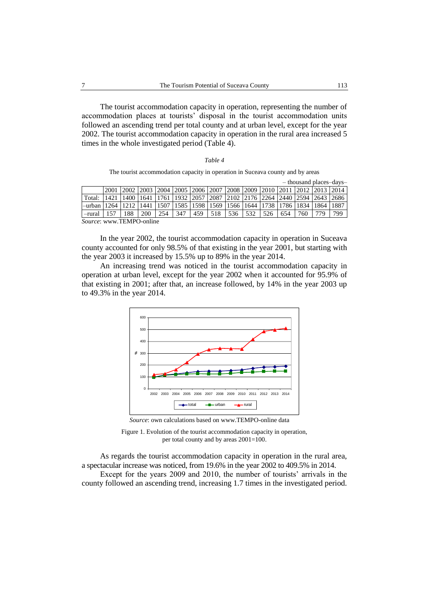The tourist accommodation capacity in operation, representing the number of accommodation places at tourists' disposal in the tourist accommodation units followed an ascending trend per total county and at urban level, except for the year 2002. The tourist accommodation capacity in operation in the rural area increased 5 times in the whole investigated period (Table 4).

|--|

The tourist accommodation capacity in operation in Suceava county and by areas

|                        | - thousand places-days-  |                                                            |      |      |     |     |                       |     |                                                       |     |                |                |      |      |
|------------------------|--------------------------|------------------------------------------------------------|------|------|-----|-----|-----------------------|-----|-------------------------------------------------------|-----|----------------|----------------|------|------|
|                        | 2001                     | 2002  2003  2004  2005  2006  2007  2008  2009  2010  2011 |      |      |     |     |                       |     |                                                       |     |                | 2012 2013 2014 |      |      |
| Total:                 |                          |                                                            | 1641 | 1761 |     |     |                       |     | 1932   2057   2087   2102   2176   2264   2440   2594 |     |                |                | 2643 | 2686 |
| $-$ urban $\mathsf{I}$ | 12.64                    |                                                            | 1441 | 1507 |     |     | 1585 1598 1569 1566 1 |     | 1644                                                  |     | 1738 1786 1834 |                | 1864 | 1887 |
| -rural                 |                          | 88                                                         | 200  | 254  | 347 | 459 | 518                   | 536 | 532                                                   | 526 | 654            | 760            |      | 799  |
|                        | Source: www.TEMPO-online |                                                            |      |      |     |     |                       |     |                                                       |     |                |                |      |      |

In the year 2002, the tourist accommodation capacity in operation in Suceava county accounted for only 98.5% of that existing in the year 2001, but starting with the year 2003 it increased by 15.5% up to 89% in the year 2014.

An increasing trend was noticed in the tourist accommodation capacity in operation at urban level, except for the year 2002 when it accounted for 95.9% of that existing in 2001; after that, an increase followed, by 14% in the year 2003 up to 49.3% in the year 2014.



*Source*: own calculations based o[n www.TEMPO-online](http://www.tempo-online/) data



As regards the tourist accommodation capacity in operation in the rural area, a spectacular increase was noticed, from 19.6% in the year 2002 to 409.5% in 2014. Except for the years 2009 and 2010, the number of tourists' arrivals in the county followed an ascending trend, increasing 1.7 times in the investigated period.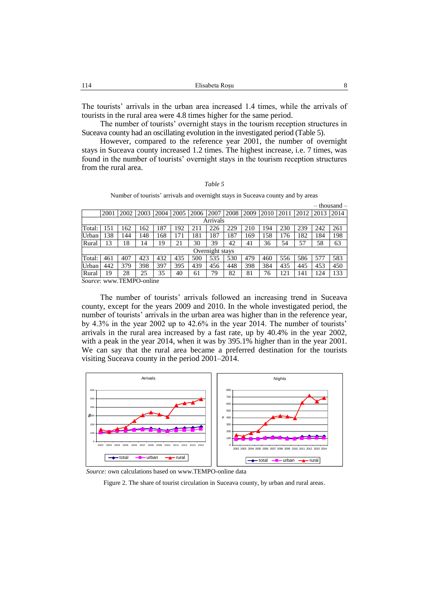| Elisabeta Rosu<br>114 |  |
|-----------------------|--|
|-----------------------|--|

The tourists' arrivals in the urban area increased 1.4 times, while the arrivals of tourists in the rural area were 4.8 times higher for the same period.

The number of tourists' overnight stays in the tourism reception structures in Suceava county had an oscillating evolution in the investigated period (Table 5).

However, compared to the reference year 2001, the number of overnight stays in Suceava county increased 1.2 times. The highest increase, i.e. 7 times, was found in the number of tourists' overnight stays in the tourism reception structures from the rural area.

#### *Table 5*

Number of tourists' arrivals and overnight stays in Suceava county and by areas

|                 |          |                               |         |      |      |      |      |      |      |      |      |      |      | $-$ thousand $-$ |
|-----------------|----------|-------------------------------|---------|------|------|------|------|------|------|------|------|------|------|------------------|
|                 | 2001     | 2002                          | 2003    | 2004 | 2005 | 2006 | 2007 | 2008 | 2009 | 2010 | 2011 | 2012 | 2013 | 2014             |
|                 | Arrivals |                               |         |      |      |      |      |      |      |      |      |      |      |                  |
| Total:          | 151      | 162                           | 162     | 187  | .92  | 211  | 226  | 229  | 210  | 194  | 230  | 239  | 242  | 261              |
| Urban           | 138      | 144                           | 148     | 168  | 171  | 181  | 187  | 187  | 169  | 158  | 176  | 182  | 184  | 198              |
| Rural           | 13       | 18                            | 14      | 19   | 21   | 30   | 39   | 42   | 41   | 36   | 54   | 57   | 58   | 63               |
| Overnight stays |          |                               |         |      |      |      |      |      |      |      |      |      |      |                  |
| Total:          | 461      | 407                           | 423     | 432  | 435  | 500  | 535  | 530  | 479  | 460  | 556  | 586  | 577  | 583              |
| Urban           | 442      | 379                           | 398     | 397  | 395  | 439  | 456  | 448  | 398  | 384  | 435  | 445  | 453  | 450              |
| Rural           | 19       | 28                            | 25      | 35   | 40   | 61   | 79   | 82   | 81   | 76   | 121  | 141  | 124  | 133              |
| $\sim$          |          | $\overline{m}$ $\overline{n}$ | $\cdot$ |      |      |      |      |      |      |      |      |      |      |                  |

*Source*[: www.TEMPO-](http://www.tempo/)online

The number of tourists' arrivals followed an increasing trend in Suceava county, except for the years 2009 and 2010. In the whole investigated period, the number of tourists' arrivals in the urban area was higher than in the reference year, by 4.3% in the year 2002 up to 42.6% in the year 2014. The number of tourists' arrivals in the rural area increased by a fast rate, up by 40.4% in the year 2002, with a peak in the year 2014, when it was by 395.1% higher than in the year 2001. We can say that the rural area became a preferred destination for the tourists visiting Suceava county in the period 2001–2014.



*Source:* own calculations based on [www.TEMPO-online](http://www.tempo-online/) data

Figure 2. The share of tourist circulation in Suceava county, by urban and rural areas.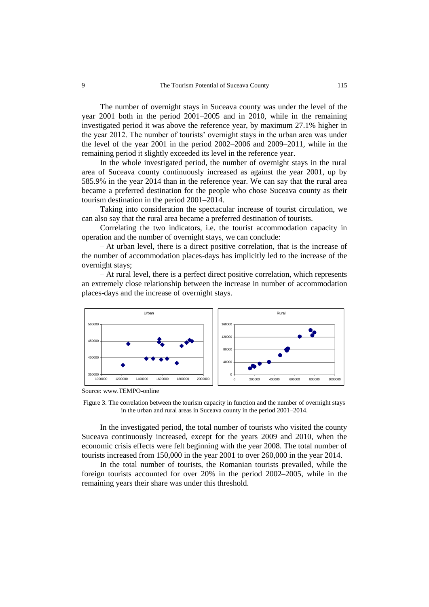The number of overnight stays in Suceava county was under the level of the year 2001 both in the period 2001–2005 and in 2010, while in the remaining investigated period it was above the reference year, by maximum 27.1% higher in the year 2012. The number of tourists' overnight stays in the urban area was under the level of the year 2001 in the period 2002–2006 and 2009–2011, while in the remaining period it slightly exceeded its level in the reference year.

In the whole investigated period, the number of overnight stays in the rural area of Suceava county continuously increased as against the year 2001, up by 585.9% in the year 2014 than in the reference year. We can say that the rural area became a preferred destination for the people who chose Suceava county as their tourism destination in the period 2001–2014.

Taking into consideration the spectacular increase of tourist circulation, we can also say that the rural area became a preferred destination of tourists.

Correlating the two indicators, i.e. the tourist accommodation capacity in operation and the number of overnight stays, we can conclude:

– At urban level, there is a direct positive correlation, that is the increase of the number of accommodation places-days has implicitly led to the increase of the overnight stays;

– At rural level, there is a perfect direct positive correlation, which represents an extremely close relationship between the increase in number of accommodation places-days and the increase of overnight stays.



Source: [www.TEMPO-o](http://www.tempo-/)nline

Figure 3. The correlation between the tourism capacity in function and the number of overnight stays in the urban and rural areas in Suceava county in the period 2001–2014.

In the investigated period, the total number of tourists who visited the county Suceava continuously increased, except for the years 2009 and 2010, when the economic crisis effects were felt beginning with the year 2008. The total number of tourists increased from 150,000 in the year 2001 to over 260,000 in the year 2014.

In the total number of tourists, the Romanian tourists prevailed, while the foreign tourists accounted for over 20% in the period 2002–2005, while in the remaining years their share was under this threshold.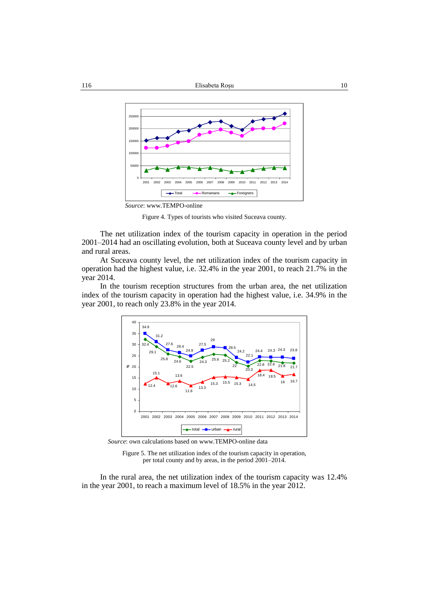

Figure 4. Types of tourists who visited Suceava county.

The net utilization index of the tourism capacity in operation in the period 2001–2014 had an oscillating evolution, both at Suceava county level and by urban and rural areas.

At Suceava county level, the net utilization index of the tourism capacity in operation had the highest value, i.e. 32.4% in the year 2001, to reach 21.7% in the year 2014.

In the tourism reception structures from the urban area, the net utilization index of the tourism capacity in operation had the highest value, i.e. 34.9% in the year 2001, to reach only 23.8% in the year 2014.



*Source*: own calculations based o[n www.TEMPO-online](http://www.tempo-online/) data

Figure 5. The net utilization index of the tourism capacity in operation, per total county and by areas, in the period 2001–2014.

In the rural area, the net utilization index of the tourism capacity was 12.4% in the year 2001, to reach a maximum level of 18.5% in the year 2012.